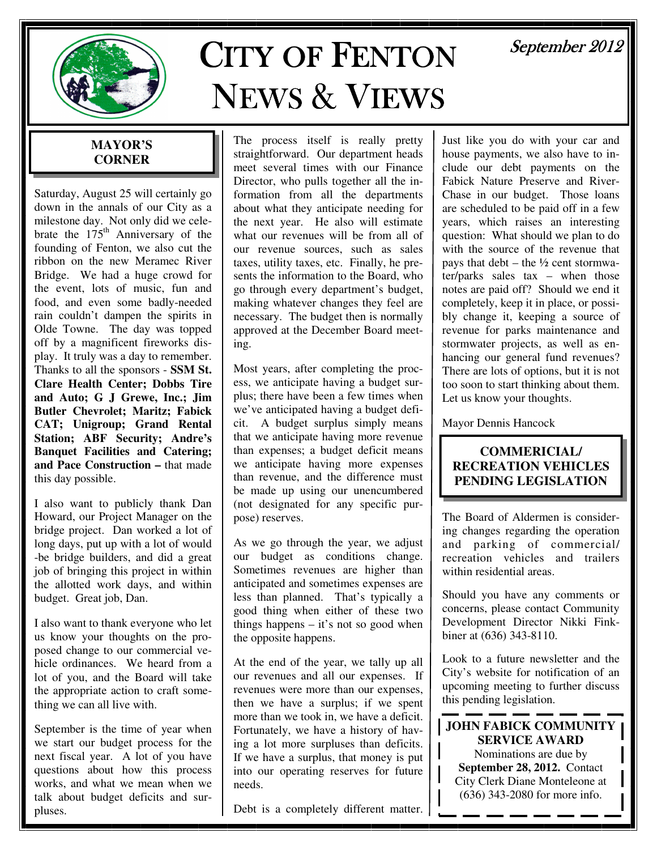

# **CITY OF FENTON** NEWS& VIEWS

# September 2012

### **MAYOR'S CORNER**

Saturday, August 25 will certainly go down in the annals of our City as a milestone day. Not only did we celebrate the  $175<sup>th</sup>$  Anniversary of the founding of Fenton, we also cut the ribbon on the new Meramec River Bridge. We had a huge crowd for the event, lots of music, fun and food, and even some badly-needed rain couldn't dampen the spirits in Olde Towne. The day was topped off by a magnificent fireworks display. It truly was a day to remember. Thanks to all the sponsors - **SSM St. Clare Health Center; Dobbs Tire and Auto; G J Grewe, Inc.; Jim Butler Chevrolet; Maritz; Fabick CAT; Unigroup; Grand Rental Station; ABF Security; Andre's Banquet Facilities and Catering; and Pace Construction –** that made this day possible.

I also want to publicly thank Dan Howard, our Project Manager on the bridge project. Dan worked a lot of long days, put up with a lot of would -be bridge builders, and did a great job of bringing this project in within the allotted work days, and within budget. Great job, Dan.

I also want to thank everyone who let us know your thoughts on the proposed change to our commercial vehicle ordinances. We heard from a lot of you, and the Board will take the appropriate action to craft something we can all live with.

September is the time of year when we start our budget process for the next fiscal year. A lot of you have questions about how this process works, and what we mean when we talk about budget deficits and surpluses.

The process itself is really pretty straightforward. Our department heads meet several times with our Finance Director, who pulls together all the information from all the departments about what they anticipate needing for the next year. He also will estimate what our revenues will be from all of our revenue sources, such as sales taxes, utility taxes, etc. Finally, he presents the information to the Board, who go through every department's budget, making whatever changes they feel are necessary. The budget then is normally approved at the December Board meeting.

Most years, after completing the process, we anticipate having a budget surplus; there have been a few times when we've anticipated having a budget deficit. A budget surplus simply means that we anticipate having more revenue than expenses; a budget deficit means we anticipate having more expenses than revenue, and the difference must be made up using our unencumbered (not designated for any specific purpose) reserves.

As we go through the year, we adjust our budget as conditions change. Sometimes revenues are higher than anticipated and sometimes expenses are less than planned. That's typically a good thing when either of these two things happens – it's not so good when the opposite happens.

At the end of the year, we tally up all our revenues and all our expenses. If revenues were more than our expenses, then we have a surplus; if we spent more than we took in, we have a deficit. Fortunately, we have a history of having a lot more surpluses than deficits. If we have a surplus, that money is put into our operating reserves for future needs.

Debt is a completely different matter.

Just like you do with your car and house payments, we also have to include our debt payments on the Fabick Nature Preserve and River-Chase in our budget. Those loans are scheduled to be paid off in a few years, which raises an interesting question: What should we plan to do with the source of the revenue that pays that debt – the  $\frac{1}{2}$  cent stormwater/parks sales tax – when those notes are paid off? Should we end it completely, keep it in place, or possibly change it, keeping a source of revenue for parks maintenance and stormwater projects, as well as enhancing our general fund revenues? There are lots of options, but it is not too soon to start thinking about them. Let us know your thoughts.

Mayor Dennis Hancock

#### **COMMERICIAL/ RECREATION VEHICLES PENDING LEGISLATION**

The Board of Aldermen is considering changes regarding the operation and parking of commercial/ recreation vehicles and trailers within residential areas.

Should you have any comments or concerns, please contact Community Development Director Nikki Finkbiner at (636) 343-8110.

Look to a future newsletter and the City's website for notification of an upcoming meeting to further discuss this pending legislation.

**JOHN FABICK COMMUNITY SERVICE AWARD**  Nominations are due by **September 28, 2012.** Contact City Clerk Diane Monteleone at (636) 343-2080 for more info.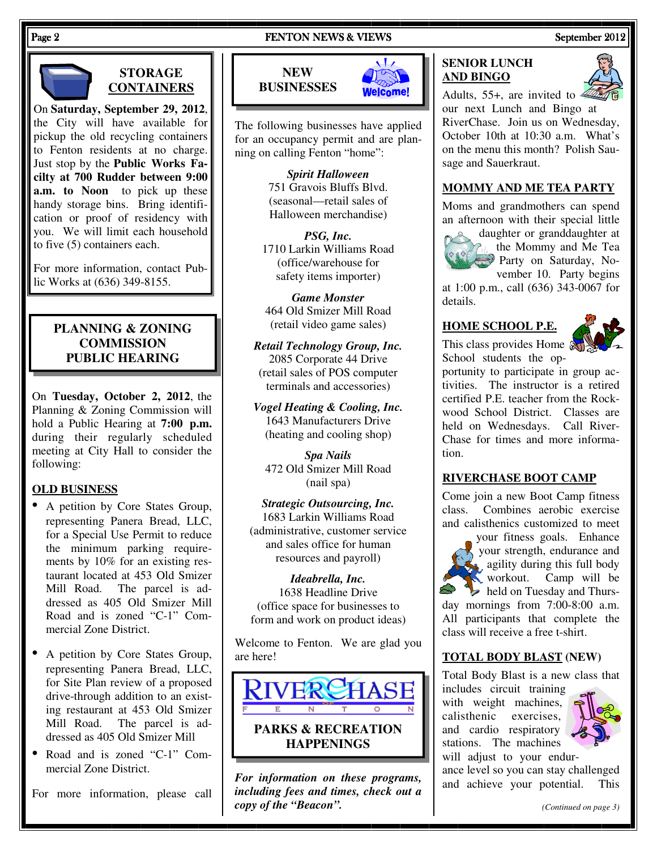#### Page 2 FENTON NEWS & VIEWS FENTON NEWS & VIEWS September 2012

#### **STORAGE CONTAINERS**

On **Saturday, September 29, 2012**, the City will have available for pickup the old recycling containers to Fenton residents at no charge. Just stop by the **Public Works Facilty at 700 Rudder between 9:00 a.m. to Noon** to pick up these handy storage bins. Bring identification or proof of residency with you. We will limit each household to five (5) containers each.

For more information, contact Public Works at (636) 349-8155.

#### **PLANNING & ZONING COMMISSION PUBLIC HEARING**

On **Tuesday, October 2, 2012**, the Planning & Zoning Commission will hold a Public Hearing at **7:00 p.m.**  during their regularly scheduled meeting at City Hall to consider the following:

#### **OLD BUSINESS**

- A petition by Core States Group, representing Panera Bread, LLC, for a Special Use Permit to reduce the minimum parking requirements by 10% for an existing restaurant located at 453 Old Smizer Mill Road. The parcel is addressed as 405 Old Smizer Mill Road and is zoned "C-1" Commercial Zone District.
- A petition by Core States Group, representing Panera Bread, LLC, for Site Plan review of a proposed drive-through addition to an existing restaurant at 453 Old Smizer Mill Road. The parcel is addressed as 405 Old Smizer Mill
- Road and is zoned "C-1" Commercial Zone District.

For more information, please call

### **NEW BUSINESSES**



The following businesses have applied for an occupancy permit and are planning on calling Fenton "home":

> *Spirit Halloween*  751 Gravois Bluffs Blvd. (seasonal—retail sales of Halloween merchandise)

*PSG, Inc.*  1710 Larkin Williams Road (office/warehouse for safety items importer)

*Game Monster*  464 Old Smizer Mill Road (retail video game sales)

*Retail Technology Group, Inc.*  2085 Corporate 44 Drive (retail sales of POS computer terminals and accessories)

*Vogel Heating & Cooling, Inc.*  1643 Manufacturers Drive (heating and cooling shop)

*Spa Nails* 472 Old Smizer Mill Road (nail spa)

*Strategic Outsourcing, Inc.*  1683 Larkin Williams Road (administrative, customer service and sales office for human resources and payroll)

*Ideabrella, Inc.*  1638 Headline Drive (office space for businesses to form and work on product ideas)

Welcome to Fenton. We are glad you are here!



*For information on these programs, including fees and times, check out a copy of the "Beacon".* 

### **SENIOR LUNCH AND BINGO**



Adults, 55+, are invited to  $\leq$ our next Lunch and Bingo at RiverChase. Join us on Wednesday, October 10th at 10:30 a.m. What's on the menu this month? Polish Sausage and Sauerkraut.

#### **MOMMY AND ME TEA PARTY**

Moms and grandmothers can spend an afternoon with their special little



daughter or granddaughter at the Mommy and Me Tea Party on Saturday, November 10. Party begins

at 1:00 p.m., call (636) 343-0067 for details.

#### **HOME SCHOOL P.E.**



This class provides Home and School students the op-

portunity to participate in group activities. The instructor is a retired certified P.E. teacher from the Rockwood School District. Classes are held on Wednesdays. Call River-Chase for times and more information.

#### **RIVERCHASE BOOT CAMP**

Come join a new Boot Camp fitness class. Combines aerobic exercise and calisthenics customized to meet

your fitness goals. Enhance your strength, endurance and agility during this full body workout. Camp will be held on Tuesday and Thursday mornings from 7:00-8:00 a.m. All participants that complete the class will receive a free t-shirt.

#### **TOTAL BODY BLAST (NEW)**

Total Body Blast is a new class that includes circuit training

with weight machines, calisthenic exercises, and cardio respiratory stations. The machines will adjust to your endur-



ance level so you can stay challenged and achieve your potential. This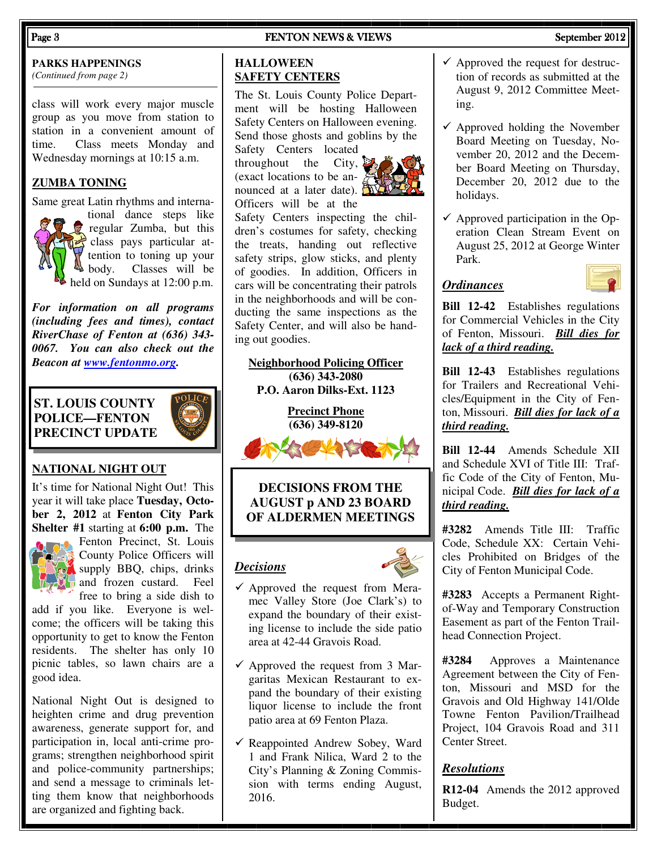#### Page 3 FENTON NEWS & VIEWS FENTON NEWS & VIEWS September 2012

### **PARKS HAPPENINGS**

*(Continued from page 2)* 

class will work every major muscle group as you move from station to station in a convenient amount of time. Class meets Monday and Wednesday mornings at 10:15 a.m.

#### **ZUMBA TONING**

Same great Latin rhythms and interna-



tional dance steps like regular Zumba, but this class pays particular attention to toning up your<br>body. Classes will be Classes will be held on Sundays at 12:00 p.m.

*For information on all programs (including fees and times), contact RiverChase of Fenton at (636) 343- 0067. You can also check out the Beacon at www.fentonmo.org.*

#### **ST. LOUIS COUNTY POLICE—FENTON PRECINCT UPDATE**



#### **NATIONAL NIGHT OUT**

It's time for National Night Out! This year it will take place **Tuesday, October 2, 2012** at **Fenton City Park Shelter #1** starting at **6:00 p.m.** The



Fenton Precinct, St. Louis County Police Officers will supply BBO, chips, drinks and frozen custard. Feel free to bring a side dish to

add if you like. Everyone is welcome; the officers will be taking this opportunity to get to know the Fenton residents. The shelter has only 10 picnic tables, so lawn chairs are a good idea.

National Night Out is designed to heighten crime and drug prevention awareness, generate support for, and participation in, local anti-crime programs; strengthen neighborhood spirit and police-community partnerships; and send a message to criminals letting them know that neighborhoods are organized and fighting back.

#### **HALLOWEEN SAFETY CENTERS**

The St. Louis County Police Department will be hosting Halloween Safety Centers on Halloween evening. Send those ghosts and goblins by the

Safety Centers located throughout the City,  $\sum_{n=1}^{\infty}$ (exact locations to be announced at a later date).  $\mathbb{R}$ Officers will be at the



Safety Centers inspecting the children's costumes for safety, checking the treats, handing out reflective safety strips, glow sticks, and plenty of goodies. In addition, Officers in cars will be concentrating their patrols in the neighborhoods and will be conducting the same inspections as the Safety Center, and will also be handing out goodies.

**Neighborhood Policing Officer (636) 343-2080 P.O. Aaron Dilks-Ext. 1123** 

> **Precinct Phone (636) 349-8120**



**DECISIONS FROM THE AUGUST p AND 23 BOARD OF ALDERMEN MEETINGS** 

#### *Decisions*



- $\checkmark$  Approved the request from Meramec Valley Store (Joe Clark's) to expand the boundary of their existing license to include the side patio area at 42-44 Gravois Road.
- $\checkmark$  Approved the request from 3 Margaritas Mexican Restaurant to expand the boundary of their existing liquor license to include the front patio area at 69 Fenton Plaza.
- $\checkmark$  Reappointed Andrew Sobey, Ward 1 and Frank Nilica, Ward 2 to the City's Planning & Zoning Commission with terms ending August, 2016.
- $\checkmark$  Approved the request for destruction of records as submitted at the August 9, 2012 Committee Meeting.
- $\checkmark$  Approved holding the November Board Meeting on Tuesday, November 20, 2012 and the December Board Meeting on Thursday, December 20, 2012 due to the holidays.
- $\checkmark$  Approved participation in the Operation Clean Stream Event on August 25, 2012 at George Winter Park.

#### *Ordinances*



**Bill 12-42** Establishes regulations for Commercial Vehicles in the City of Fenton, Missouri. *Bill dies for lack of a third reading.*

**Bill 12-43** Establishes regulations for Trailers and Recreational Vehicles/Equipment in the City of Fenton, Missouri. *Bill dies for lack of a third reading.*

**Bill 12-44** Amends Schedule XII and Schedule XVI of Title III: Traffic Code of the City of Fenton, Municipal Code. *Bill dies for lack of a third reading.*

**#3282** Amends Title III: Traffic Code, Schedule XX: Certain Vehicles Prohibited on Bridges of the City of Fenton Municipal Code.

**#3283** Accepts a Permanent Rightof-Way and Temporary Construction Easement as part of the Fenton Trailhead Connection Project.

**#3284** Approves a Maintenance Agreement between the City of Fenton, Missouri and MSD for the Gravois and Old Highway 141/Olde Towne Fenton Pavilion/Trailhead Project, 104 Gravois Road and 311 Center Street.

#### *Resolutions*

**R12-04** Amends the 2012 approved Budget.